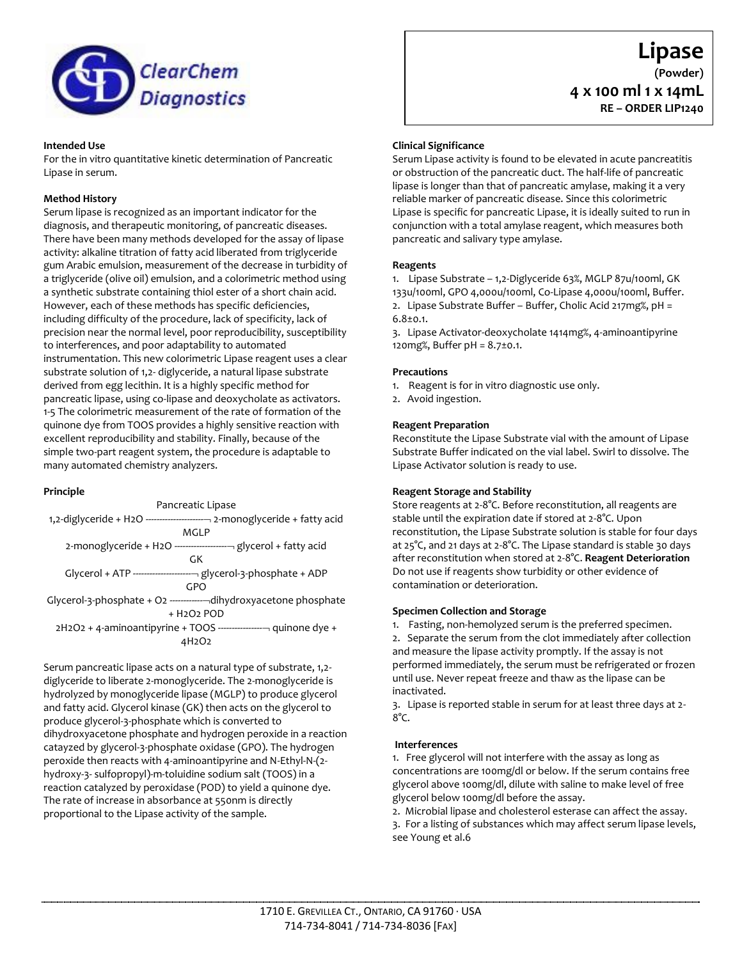

#### **Intended Use**

For the in vitro quantitative kinetic determination of Pancreatic Lipase in serum.

# **Method History**

Serum lipase is recognized as an important indicator for the diagnosis, and therapeutic monitoring, of pancreatic diseases. There have been many methods developed for the assay of lipase activity: alkaline titration of fatty acid liberated from triglyceride gum Arabic emulsion, measurement of the decrease in turbidity of a triglyceride (olive oil) emulsion, and a colorimetric method using a synthetic substrate containing thiol ester of a short chain acid. However, each of these methods has specific deficiencies, including difficulty of the procedure, lack of specificity, lack of precision near the normal level, poor reproducibility, susceptibility to interferences, and poor adaptability to automated instrumentation. This new colorimetric Lipase reagent uses a clear substrate solution of 1,2- diglyceride, a natural lipase substrate derived from egg lecithin. It is a highly specific method for pancreatic lipase, using co-lipase and deoxycholate as activators. 1-5 The colorimetric measurement of the rate of formation of the quinone dye from TOOS provides a highly sensitive reaction with excellent reproducibility and stability. Finally, because of the simple two-part reagent system, the procedure is adaptable to many automated chemistry analyzers.

### **Principle**



Serum pancreatic lipase acts on a natural type of substrate, 1,2 diglyceride to liberate 2-monoglyceride. The 2-monoglyceride is hydrolyzed by monoglyceride lipase (MGLP) to produce glycerol and fatty acid. Glycerol kinase (GK) then acts on the glycerol to produce glycerol-3-phosphate which is converted to dihydroxyacetone phosphate and hydrogen peroxide in a reaction catayzed by glycerol-3-phosphate oxidase (GPO). The hydrogen peroxide then reacts with 4-aminoantipyrine and N-Ethyl-N-(2 hydroxy-3- sulfopropyl)-m-toluidine sodium salt (TOOS) in a reaction catalyzed by peroxidase (POD) to yield a quinone dye. The rate of increase in absorbance at 550nm is directly proportional to the Lipase activity of the sample.

# **Clinical Significance**

Serum Lipase activity is found to be elevated in acute pancreatitis or obstruction of the pancreatic duct. The half-life of pancreatic lipase is longer than that of pancreatic amylase, making it a very reliable marker of pancreatic disease. Since this colorimetric Lipase is specific for pancreatic Lipase, it is ideally suited to run in conjunction with a total amylase reagent, which measures both pancreatic and salivary type amylase.

**Lipase (Powder)**

**4 x 100 ml 1 x 14mL RE – ORDER LIP1240**

### **Reagents**

1. Lipase Substrate – 1,2-Diglyceride 63%, MGLP 87u/100ml, GK 133u/100ml, GPO 4,000u/100ml, Co-Lipase 4,000u/100ml, Buffer. 2. Lipase Substrate Buffer – Buffer, Cholic Acid 217mg%, pH = 6.8±0.1.

3. Lipase Activator-deoxycholate 1414mg%, 4-aminoantipyrine 120mg%, Buffer pH = 8.7±0.1.

### **Precautions**

1. Reagent is for in vitro diagnostic use only.

2. Avoid ingestion.

#### **Reagent Preparation**

Reconstitute the Lipase Substrate vial with the amount of Lipase Substrate Buffer indicated on the vial label. Swirl to dissolve. The Lipase Activator solution is ready to use.

### **Reagent Storage and Stability**

Store reagents at 2-8°C. Before reconstitution, all reagents are stable until the expiration date if stored at 2-8°C. Upon reconstitution, the Lipase Substrate solution is stable for four days at 25°C, and 21 days at 2-8°C. The Lipase standard is stable 30 days after reconstitution when stored at 2-8°C. **Reagent Deterioration** Do not use if reagents show turbidity or other evidence of contamination or deterioration.

#### **Specimen Collection and Storage**

1. Fasting, non-hemolyzed serum is the preferred specimen.

2. Separate the serum from the clot immediately after collection and measure the lipase activity promptly. If the assay is not performed immediately, the serum must be refrigerated or frozen until use. Never repeat freeze and thaw as the lipase can be inactivated.

3. Lipase is reported stable in serum for at least three days at 2-  $8^{\circ}C$ .

#### **Interferences**

1. Free glycerol will not interfere with the assay as long as concentrations are 100mg/dl or below. If the serum contains free glycerol above 100mg/dl, dilute with saline to make level of free glycerol below 100mg/dl before the assay.

2. Microbial lipase and cholesterol esterase can affect the assay. 3. For a listing of substances which may affect serum lipase levels, see Young et al.6